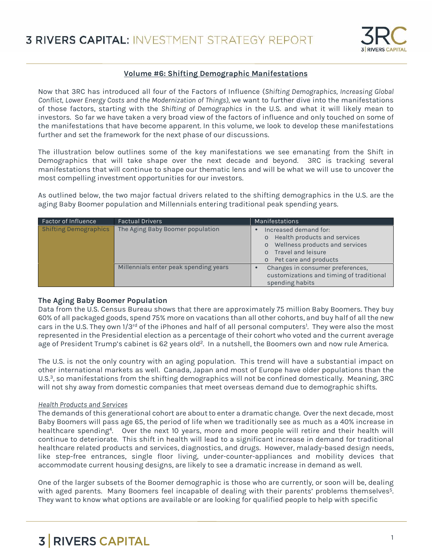

# **Volume #6: Shifting Demographic Manifestations**

Now that 3RC has introduced all four of the Factors of Influence (*Shifting Demographics, Increasing Global Conflict, Lower Energy Costs and the Modernization of Things),* we want to further dive into the manifestations of those factors, starting with the *Shifting of Demographics* in the U.S. and what it will likely mean to investors. So far we have taken a very broad view of the factors of influence and only touched on some of the manifestations that have become apparent. In this volume, we look to develop these manifestations further and set the framework for the next phase of our discussions.

The illustration below outlines some of the key manifestations we see emanating from the Shift in Demographics that will take shape over the next decade and beyond. 3RC is tracking several manifestations that will continue to shape our thematic lens and will be what we will use to uncover the most compelling investment opportunities for our investors.

As outlined below, the two major factual drivers related to the shifting demographics in the U.S. are the aging Baby Boomer population and Millennials entering traditional peak spending years.

| <b>Factor of Influence</b>   | <b>Factual Drivers</b>                | Manifestations                                                                                                                                                                      |
|------------------------------|---------------------------------------|-------------------------------------------------------------------------------------------------------------------------------------------------------------------------------------|
| <b>Shifting Demographics</b> | The Aging Baby Boomer population      | Increased demand for:<br>Health products and services<br>$\circ$<br>Wellness products and services<br>$\circ$<br>Travel and leisure<br>$\Omega$<br>Pet care and products<br>$\circ$ |
|                              | Millennials enter peak spending years | Changes in consumer preferences,<br>customizations and timing of traditional<br>spending habits                                                                                     |

## **The Aging Baby Boomer Population**

Data from the U.S. Census Bureau shows that there are approximately 75 million Baby Boomers. They buy 60% of all packaged goods, spend 75% more on vacations than all other cohorts, and buy half of all the new cars in the U.S. They own 1/3<sup>rd</sup> of the iPhones and half of all personal computers<sup>1</sup>. They were also the most represented in the Presidential election as a percentage of their cohort who voted and the current average age of President Trump's cabinet is 62 years old<sup>2</sup>. In a nutshell, the Boomers own and now rule America.

The U.S. is not the only country with an aging population. This trend will have a substantial impact on other international markets as well. Canada, Japan and most of Europe have older populations than the U.S.<sup>3</sup>, so manifestations from the shifting demographics will not be confined domestically. Meaning, 3RC will not shy away from domestic companies that meet overseas demand due to demographic shifts.

#### *Health Products and Services*

The demands of this generational cohort are aboutto enter a dramatic change. Over the next decade, most Baby Boomers will pass age 65, the period of life when we traditionally see as much as a 40% increase in healthcare spending<sup>4</sup> . Over the next 10 years, more and more people will retire and their health will continue to deteriorate. This shift in health will lead to a significant increase in demand for traditional healthcare related products and services, diagnostics, and drugs. However, malady-based design needs, like step-free entrances, single floor living, under-counter-appliances and mobility devices that accommodate current housing designs, are likely to see a dramatic increase in demand as well.

One of the larger subsets of the Boomer demographic is those who are currently, or soon will be, dealing with aged parents. Many Boomers feel incapable of dealing with their parents' problems themselves<sup>5</sup>. They want to know what options are available or are looking for qualified people to help with specific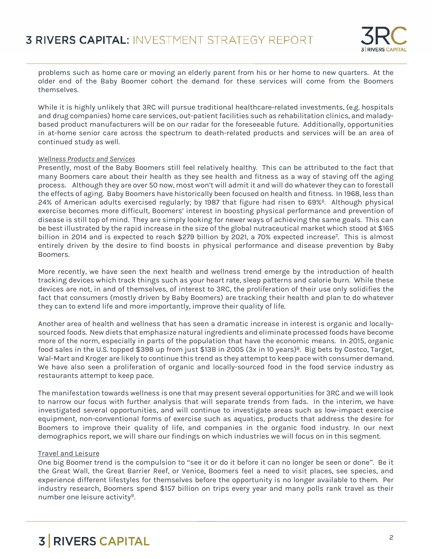

problems such as home care or moving an elderly parent from his or her home to new quarters. At the older end of the Baby Boomer cohort the demand for these services will come from the Boomers themselves.

While it is highly unlikely that 3RC will pursue traditional healthcare-related investments, (e.g. hospitals and drug companies) home care services, out-patient facilities such as rehabilitation clinics, and malady based product manufacturers will be on our radar for the foreseeable future. Additionally, opportunities in at-home senior care across the spectrum to death-related products and services will be an area of continued study as well.

#### *Wellness Products and Services*

Presently, most of the Baby Boomers still feel relatively healthy. This can be attributed to the fact that many Boomers care about their health as they see health and fitness as a way of staving off the aging process. Although they are over 50 now, most won't will admit it and will do whatever they can to forestall the effects of aging. Baby Boomers have historically been focused on health and fitness. In 1968, less than 24% of American adults exercised regularly; by 1987 that figure had risen to 69%<sup>6</sup> . Although physical exercise becomes more difficult, Boomers' interest in boosting physical performance and prevention of disease is still top of mind. They are simply looking for newer ways of achieving the same goals. This can be best illustrated by the rapid increase in the size of the global nutraceutical market which stood at \$165 billion in 2014 and is expected to reach \$279 billion by 2021, a 70% expected increase<sup>7</sup>. This is almost entirely driven by the desire to find boosts in physical performance and disease prevention by Baby Boomers.

More recently, we have seen the next health and wellness trend emerge by the introduction of health tracking devices which track things such as your heart rate, sleep patterns and calorie burn. While these devices are not, in and of themselves, of interest to 3RC, the proliferation of their use only solidifies the fact that consumers (mostly driven by Baby Boomers) are tracking their health and plan to do whatever they can to extend life and more importantly, improve their quality of life.

Another area of health and wellness that has seen a dramatic increase in interest is organic and locally sourced foods. New diets that emphasize natural ingredients and eliminate processed foods have become more of the norm, especially in parts of the population that have the economic means. In 2015, organic food sales in the U.S. topped \$39B up from just \$13B in 2005 (3x in 10 years)<sup>8</sup>. Big bets by Costco, Target, Wal-Mart and Kroger are likely to continue this trend as they attempt to keep pace with consumer demand. We have also seen a proliferation of organic and locally-sourced food in the food service industry as restaurants attempt to keep pace.

The manifestation towards wellness is one that may present several opportunities for 3RC and we will look to narrow our focus with further analysis that will separate trends from fads. In the interim, we have investigated several opportunities, and will continue to investigate areas such as low-impact exercise equipment, non-conventional forms of exercise such as aquatics, products that address the desire for Boomers to improve their quality of life, and companies in the organic food industry. In our next demographics report, we will share our findings on which industries we will focus on in this segment.

## Travel and Leisure

One big Boomer trend is the compulsion to "see it or do it before it can no longer be seen or done". Be it the Great Wall, the Great Barrier Reef, or Venice, Boomers feel a need to visit places, see species, and experience different lifestyles for themselves before the opportunity is no longer available to them. Per industry research, Boomers spend \$157 billion on trips every year and many polls rank travel as their number one leisure activity<sup>9</sup>.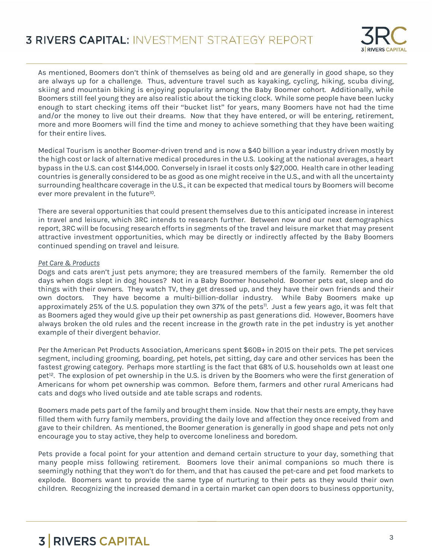

As mentioned, Boomers don't think of themselves as being old and are generally in good shape, so they are always up for a challenge. Thus, adventure travel such as kayaking, cycling, hiking, scuba diving, skiing and mountain biking is enjoying popularity among the Baby Boomer cohort. Additionally, while Boomers still feel young they are also realistic about the ticking clock. While some people have been lucky enough to start checking items off their "bucket list" for years, many Boomers have not had the time and/or the money to live out their dreams. Now that they have entered, or will be entering, retirement, more and more Boomers will find the time and money to achieve something that they have been waiting for their entire lives.

Medical Tourism is another Boomer-driven trend and is now a \$40 billion a year industry driven mostly by the high cost or lack of alternative medical procedures in the U.S. Looking at the national averages, a heart bypass in the U.S. can cost \$144,000. Conversely in Israel it costs only \$27,000. Health care in otherleading countries is generally considered to be as good as one might receive in the U.S., and with allthe uncertainty surrounding healthcare coverage in the U.S., it can be expected that medical tours by Boomers will become ever more prevalent in the future<sup>10</sup>.

There are several opportunities that could present themselves due to this anticipated increase in interest in travel and leisure, which 3RC intends to research further. Between now and our next demographics report, 3RC will be focusing research efforts in segments of the travel and leisure market that may present attractive investment opportunities, which may be directly or indirectly affected by the Baby Boomers continued spending on travel and leisure.

#### *Pet Care & Products*

Dogs and cats aren't just pets anymore; they are treasured members of the family. Remember the old days when dogs slept in dog houses? Not in a Baby Boomer household. Boomer pets eat, sleep and do things with their owners. They watch TV, they get dressed up, and they have their own friends and their own doctors. They have become a multi-billion-dollar industry. While Baby Boomers make up approximately 25% of the U.S. population they own 37% of the pets<sup>11</sup>. Just a few years ago, it was felt that as Boomers aged they would give up their pet ownership as past generations did. However, Boomers have always broken the old rules and the recent increase in the growth rate in the pet industry is yet another example of their divergent behavior.

Per the American Pet Products Association, Americans spent \$60B+ in 2015 on their pets. The pet services segment, including grooming, boarding, pet hotels, pet sitting, day care and other services has been the fastest growing category. Perhaps more startling is the fact that 68% of U.S. households own at least one pet<sup>12</sup>. The explosion of pet ownership in the U.S. is driven by the Boomers who were the first generation of Americans for whom pet ownership was common. Before them, farmers and other rural Americans had cats and dogs who lived outside and ate table scraps and rodents.

Boomers made pets part of the family and brought them inside. Now that their nests are empty, they have filled them with furry family members, providing the daily love and affection they once received from and gave to their children. As mentioned, the Boomer generation is generally in good shape and pets not only encourage you to stay active, they help to overcome loneliness and boredom.

Pets provide a focal point for your attention and demand certain structure to your day, something that many people miss following retirement. Boomers love their animal companions so much there is seemingly nothing that they won't do for them, and that has caused the pet-care and pet food markets to explode. Boomers want to provide the same type of nurturing to their pets as they would their own children. Recognizing the increased demand in a certain market can open doors to business opportunity,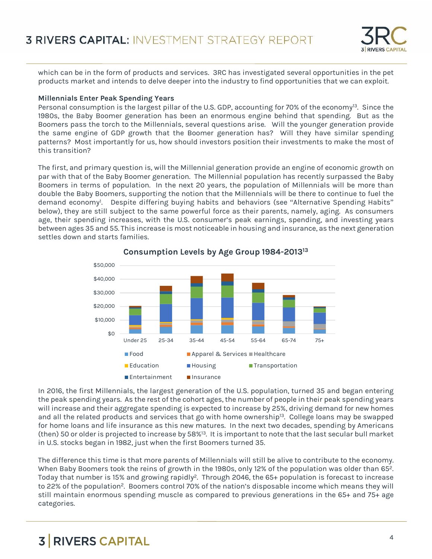

which can be in the form of products and services. 3RC has investigated several opportunities in the pet products market and intends to delve deeper into the industry to find opportunities that we can exploit.

### **Millennials Enter Peak Spending Years**

Personal consumption is the largest pillar of the U.S. GDP, accounting for 70% of the economy<sup>13</sup>. Since the 1980s, the Baby Boomer generation has been an enormous engine behind that spending. But as the Boomers pass the torch to the Millennials, several questions arise. Will the younger generation provide the same engine of GDP growth that the Boomer generation has? Will they have similar spending patterns? Most importantly for us, how should investors position their investments to make the most of this transition?

The first, and primary question is, will the Millennial generation provide an engine of economic growth on par with that of the Baby Boomer generation. The Millennial population has recently surpassed the Baby Boomers in terms of population. In the next 20 years, the population of Millennials will be more than double the Baby Boomers, supporting the notion that the Millennials will be there to continue to fuel the demand economy<sup>1</sup>. Despite differing buying habits and behaviors (see "Alternative Spending Habits" below), they are still subject to the same powerful force as their parents, namely, aging. As consumers age, their spending increases, with the U.S. consumer's peak earnings, spending, and investing years between ages 35 and 55. This increase is most noticeable in housing and insurance, as the next generation settles down and starts families.



**Consumption Levels by Age Group 1984-2013<sup>13</sup>**

In 2016, the first Millennials, the largest generation of the U.S. population, turned 35 and began entering the peak spending years. As the rest of the cohort ages, the number of people in their peak spending years will increase and their aggregate spending is expected to increase by 25%, driving demand for new homes and all the related products and services that go with home ownership<sup>13</sup>. College loans may be swapped for home loans and life insurance as this new matures. In the next two decades, spending by Americans (then) 50 or older is projected to increase by 58%<sup>13</sup>. It is important to note that the last secular bull market in U.S. stocks began in 1982, just when the first Boomers turned 35.

The difference this time is that more parents of Millennials will still be alive to contribute to the economy. When Baby Boomers took the reins of growth in the 1980s, only 12% of the population was older than 65<sup>2</sup>. Today that number is 15% and growing rapidly<sup>2</sup>. Through 2046, the 65+ population is forecast to increase to 22% of the population<sup>2</sup>. Boomers control 70% of the nation's disposable income which means they will still maintain enormous spending muscle as compared to previous generations in the 65+ and 75+ age categories.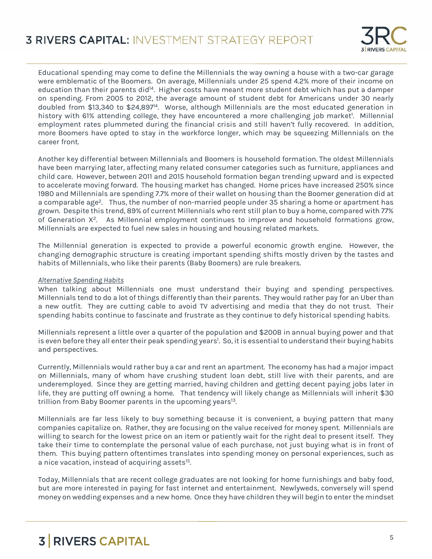

Educational spending may come to define the Millennials the way owning a house with a two-car garage were emblematic of the Boomers. On average, Millennials under 25 spend 4.2% more of their income on education than their parents did<sup>14</sup>. Higher costs have meant more student debt which has put a damper on spending. From 2005 to 2012, the average amount of student debt for Americans under 30 nearly doubled from \$13,340 to \$24,897<sup>14</sup>. Worse, although Millennials are the most educated generation in history with 61% attending college, they have encountered a more challenging job market!. Millennial employment rates plummeted during the financial crisis and still haven't fully recovered. In addition, more Boomers have opted to stay in the workforce longer, which may be squeezing Millennials on the career front.

Another key differential between Millennials and Boomers is household formation. The oldest Millennials have been marrying later, affecting many related consumer categories such as furniture, appliances and child care. However, between 2011 and 2015 household formation began trending upward and is expected to accelerate moving forward. The housing market has changed. Home prices have increased 250% since 1980 and Millennials are spending 7.7% more of their wallet on housing than the Boomer generation did at a comparable age<sup>2</sup>. Thus, the number of non-married people under 35 sharing a home or apartment has grown. Despite this trend, 89% of current Millennials who rent still plan to buy a home, compared with 77% of Generation X<sup>2</sup>. As Millennial employment continues to improve and household formations grow, Millennials are expected to fuel new sales in housing and housing related markets.

The Millennial generation is expected to provide a powerful economic growth engine. However, the changing demographic structure is creating important spending shifts mostly driven by the tastes and habits of Millennials, who like their parents (Baby Boomers) are rule breakers.

### *Alternative Spending Habits*

When talking about Millennials one must understand their buying and spending perspectives. Millennials tend to do a lot of things differently than their parents. They would rather pay for an Uber than a new outfit. They are cutting cable to avoid TV advertising and media that they do not trust. Their spending habits continue to fascinate and frustrate as they continue to defy historical spending habits.

Millennials represent a little over a quarter of the population and \$200B in annual buying power and that is even before they all enter their peak spending years<sup>1</sup>. So, it is essential to understand their buying habits and perspectives.

Currently, Millennials would rather buy a car and rent an apartment. The economy has had a major impact on Millennials, many of whom have crushing student loan debt, still live with their parents, and are underemployed. Since they are getting married, having children and getting decent paying jobs later in life, they are putting off owning a home. That tendency will likely change as Millennials will inherit \$30 trillion from Baby Boomer parents in the upcoming years<sup>13</sup>.

Millennials are far less likely to buy something because it is convenient, a buying pattern that many companies capitalize on. Rather, they are focusing on the value received for money spent. Millennials are willing to search for the lowest price on an item or patiently wait for the right deal to present itself. They take their time to contemplate the personal value of each purchase, not just buying what is in front of them. This buying pattern oftentimes translates into spending money on personal experiences, such as a nice vacation, instead of acquiring assets<sup>15</sup>.

Today, Millennials that are recent college graduates are not looking for home furnishings and baby food, but are more interested in paying for fast internet and entertainment. Newlyweds, conversely will spend money on wedding expenses and a new home. Once they have children they will begin to enter the mindset